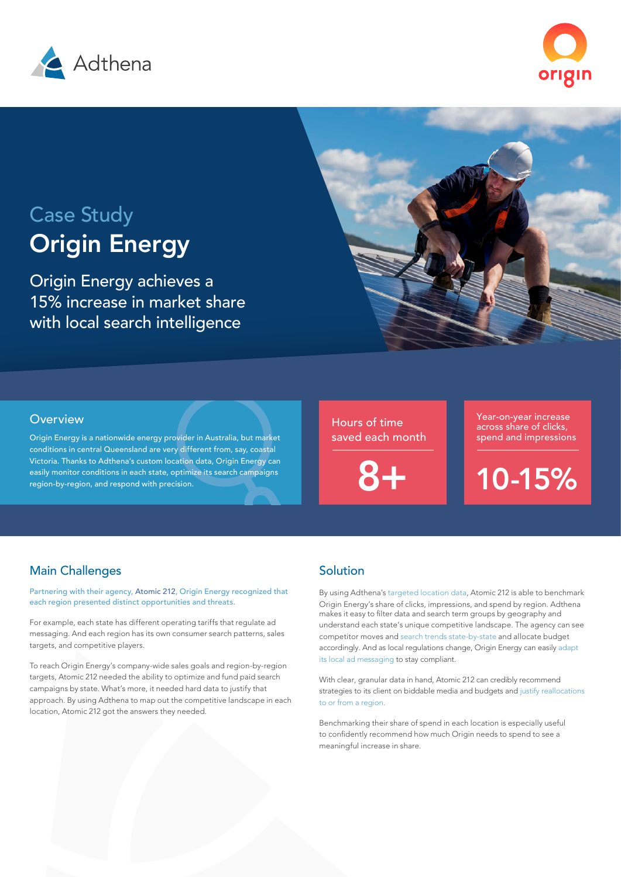



# Case Study [Origin Energy](https://www.originenergy.com.au/)

Origin Energy achieves a 15% increase in market share with local search intelligence



Origin Energy is a nationwide energy provider in Australia, but market conditions in central Queensland are very different from, say, coastal Victoria. Thanks to Adthena's custom location data, Origin Energy can easily monitor conditions in each state, optimize its search campaigns region-by-region, and respond with precision.

Hours of time saved each month

Year-on-year increase across share of clicks, spend and impressions

10-15%

# Main Challenges

Partnering with their agency, [Atomic 212](https://atomic212.com.au/), [Origin Energy](https://www.originenergy.com.au/) recognized that each region presented distinct opportunities and threats.

For example, each state has different operating tariffs that regulate ad messaging. And each region has its own consumer search patterns, sales targets, and competitive players.

To reach Origin Energy's company-wide sales goals and region-by-region targets, Atomic 212 needed the ability to optimize and fund paid search campaigns by state. What's more, it needed hard data to justify that approach. By using Adthena to map out the competitive landscape in each location, Atomic 212 got the answers they needed.

## Solution

By using Adthena's targeted location data, Atomic 212 is able to benchmark Origin Energy's share of clicks, impressions, and spend by region. Adthena makes it easy to filter data and search term groups by geography and understand each state's unique competitive landscape. The agency can see competitor moves and search trends state-by-state and allocate budget accordingly. And as local regulations change, Origin Energy can easily adapt its local ad messaging to stay compliant.

With clear, granular data in hand, Atomic 212 can credibly recommend strategies to its client on biddable media and budgets and justify reallocations to or from a region.

Benchmarking their share of spend in each location is especially useful to confidently recommend how much Origin needs to spend to see a meaningful increase in share.